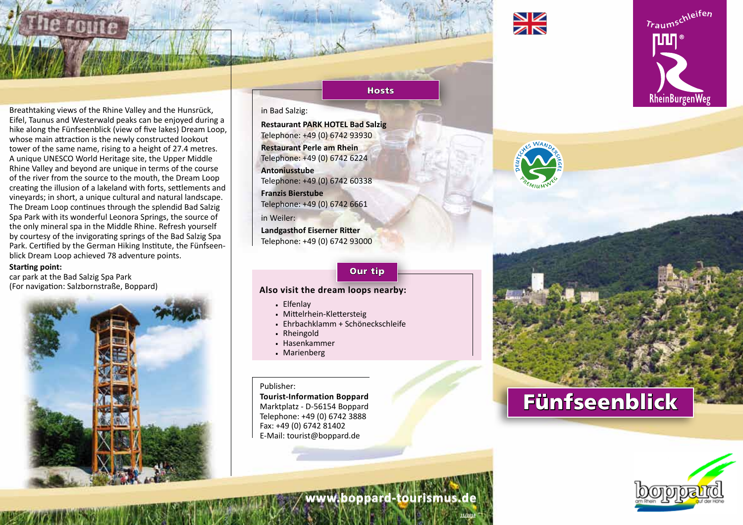



Breathtaking views of the Rhine Valley and the Hunsrück, Eifel, Taunus and Westerwald peaks can be enjoyed during a hike along the Fünfseenblick (view of five lakes) Dream Loop, whose main attraction is the newly constructed lookout tower of the same name, rising to a height of 27.4 metres. A unique UNESCO World Heritage site, the Upper Middle Rhine Valley and beyond are unique in terms of the course of the river from the source to the mouth, the Dream Loop creating the illusion of a lakeland with forts, settlements and vineyards; in short, a unique cultural and natural landscape. The Dream Loop continues through the splendid Bad Salzig Spa Park with its wonderful Leonora Springs, the source of the only mineral spa in the Middle Rhine. Refresh yourself by courtesy of the invigorating springs of the Bad Salzig Spa Park. Certified by the German Hiking Institute, the Fünfseenblick Dream Loop achieved 78 adventure points.

#### **Starting point:**

car park at the Bad Salzig Spa Park (For navigation: Salzbornstraße, Boppard)



### Hosts

#### in Bad Salzig:

**Restaurant PARK HOTEL Bad Salzig** Telephone: +49 (0) 6742 93930 **Restaurant Perle am Rhein** Telephone: +49 (0) 6742 6224 **Antoniusstube**  Telephone: +49 (0) 6742 60338 **Franzis Bierstube** Telephone: +49 (0) 6742 6661 in Weiler: **Landgasthof Eiserner Ritter**

Telephone: +49 (0) 6742 93000

#### Our tip

#### **Also visit the dream loops nearby:**

- . Elfenlay
- . Mittelrhein-Klettersteig
- . Ehrbachklamm + Schöneckschleife
- . Rheingold
- . Hasenkammer
- . Marienberg

#### Publisher:

**Tourist-Information Boppard** Marktplatz - D-56154 Boppard Telephone: +49 (0) 6742 3888 Fax: +49 (0) 6742 81402 E-Mail: tourist@boppard.de



# Fünfseenblick



**11/2018**